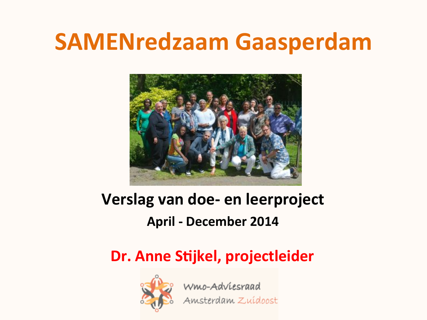### **SAMENredzaam Gaasperdam**



### Verslag van doe- en leerproject **April - December 2014**

### Dr. Anne Stijkel, projectleider



**Wmo-Adviesraad**<br>Amsterdam Zuídoost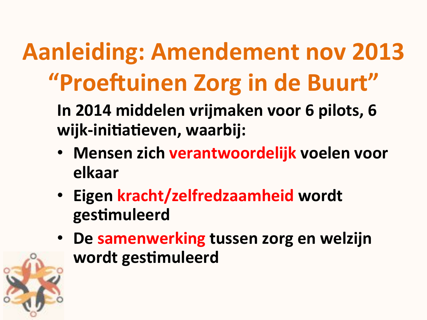# **Aanleiding: Amendement nov 2013** "Proeftuinen Zorg in de Buurt"

In 2014 middelen vrijmaken voor 6 pilots, 6 wijk-initiatieven, waarbij:

- Mensen zich verantwoordelijk voelen voor elkaar
- · Eigen kracht/zelfredzaamheid wordt gestimuleerd
- De samenwerking tussen zorg en welzijn wordt gestimuleerd

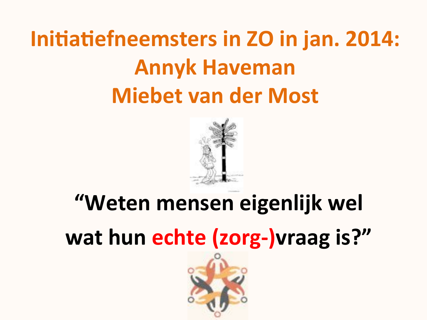## Initiatiefneemsters in ZO in jan. 2014: **Annyk Haveman Miebet van der Most**



# "Weten mensen eigenlijk wel wat hun echte (zorg-) vraag is?"

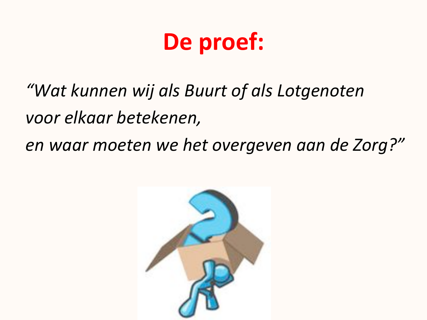## De proef:

"Wat kunnen wij als Buurt of als Lotgenoten voor elkaar betekenen, en waar moeten we het overgeven aan de Zorg?"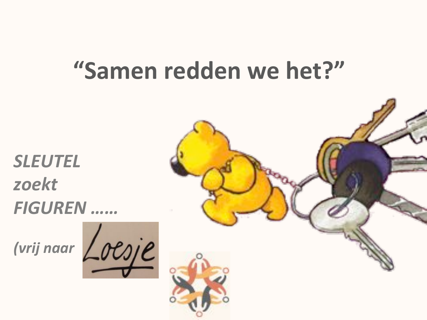## "Samen redden we het?"

**SLEUTEL** zoekt **FIGUREN** ......



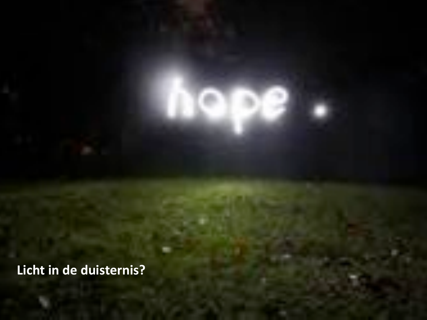Licht in de duisternis?

2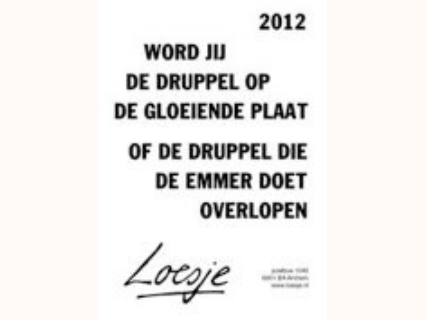# 2012

**WORD JIJ DE DRUPPEL OP DE GLOEIENDE PLAAT** OF DE DRUPPEL DIE **DE EMMER DOET OVERLOPEN** 

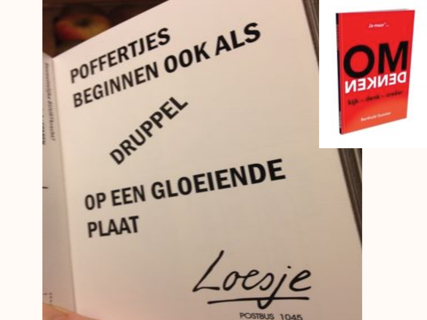BEGINNEN OOK ALS Ja maar DENKEN DRUPPEL OP EEN GLOEIENDE **PLAAT** Loesje ÷ POSTBUS 1045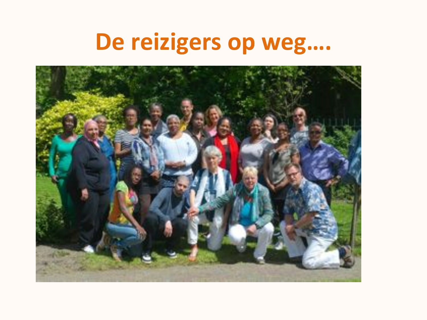# De reizigers op weg....

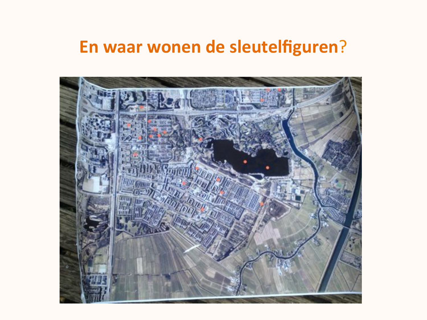### En waar wonen de sleutelfiguren?

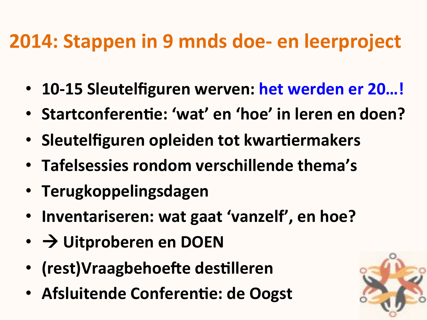### 2014: Stappen in 9 mnds doe- en leerproject

- 10-15 Sleutelfiguren werven: het werden er 20...!
- Startconferentie: 'wat' en 'hoe' in leren en doen?
- Sleutelfiguren opleiden tot kwartiermakers
- Tafelsessies rondom verschillende thema's
- Terugkoppelingsdagen
- Inventariseren: wat gaat 'vanzelf', en hoe?
- $\cdot$   $\rightarrow$  Uitproberen en DOEN
- (rest)Vraagbehoefte destilleren
- Afsluitende Conferentie: de Oogst

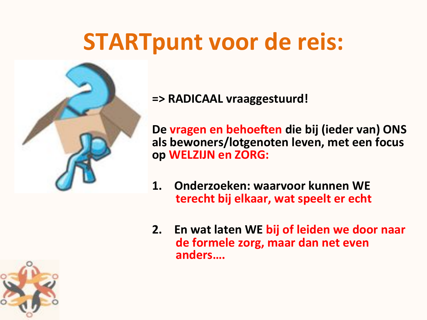## **STARTpunt voor de reis:**



=> RADICAAL vraaggestuurd!

De vragen en behoeften die bij (ieder van) ONS als bewoners/lotgenoten leven, met een focus op WELZIJN en ZORG:

- Onderzoeken: waarvoor kunnen WE  $\mathbf 1$ terecht bij elkaar, wat speelt er echt
- 2. En wat laten WE bij of leiden we door naar de formele zorg, maar dan net even anders....

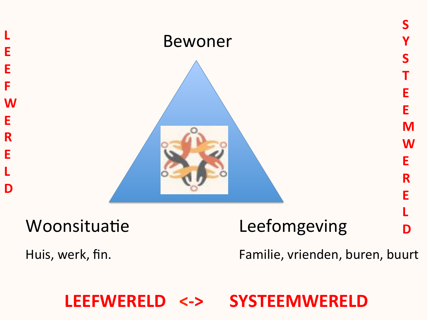

**LEEFWERELD SYSTEEMWERELD**  $\left\langle -\right\rangle$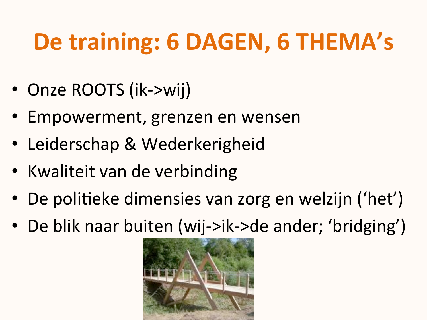# De training: 6 DAGEN, 6 THEMA's

- Onze ROOTS (ik->wij)
- Empowerment, grenzen en wensen
- Leiderschap & Wederkerigheid
- Kwaliteit van de verbinding
- De politieke dimensies van zorg en welzijn ('het')
- De blik naar buiten (wij->ik->de ander; 'bridging')

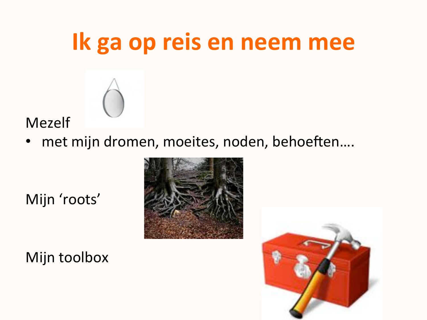### Ik ga op reis en neem mee



**Mezelf** 

met mijn dromen, moeites, noden, behoeften....

Mijn 'roots'





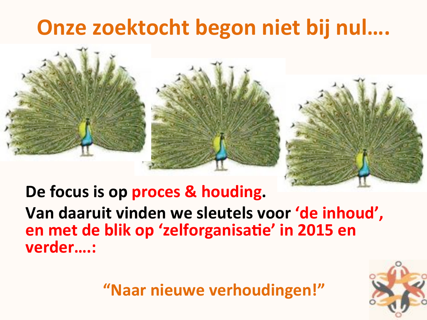### Onze zoektocht begon niet bij nul....





De focus is op proces & houding.

Van daaruit vinden we sleutels voor 'de inhoud', en met de blik op 'zelforganisatie' in 2015 en verder....:

"Naar nieuwe verhoudingen!"

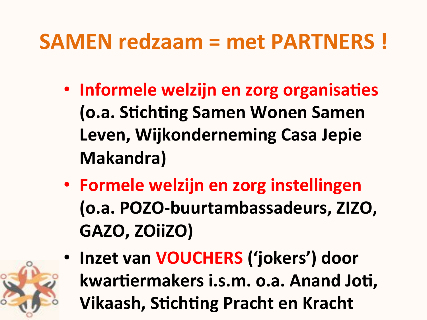### **SAMEN redzaam = met PARTNERS!**

- Informele welzijn en zorg organisaties (o.a. Stichting Samen Wonen Samen Leven, Wijkonderneming Casa Jepie **Makandra**)
- Formele welzijn en zorg instellingen (o.a. POZO-buurtambassadeurs, ZIZO, GAZO, ZOIIZO)
- Inzet van VOUCHERS ('jokers') door kwartiermakers i.s.m. o.a. Anand Joti, **Vikaash, Stichting Pracht en Kracht**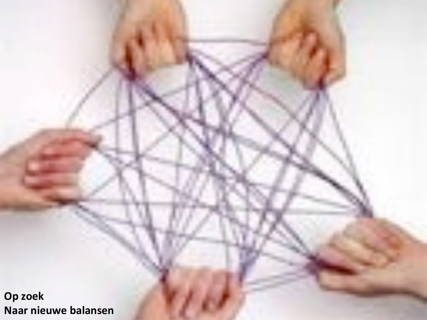Op zoek Naar nieuwe balansen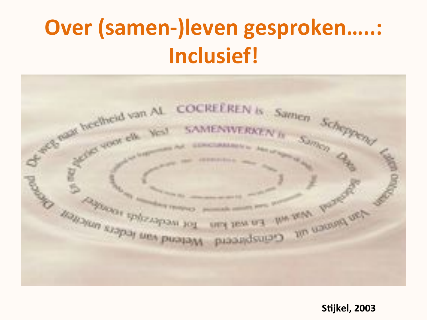## Over (samen-)leven gesproken.....: **Inclusief!**



Stijkel, 2003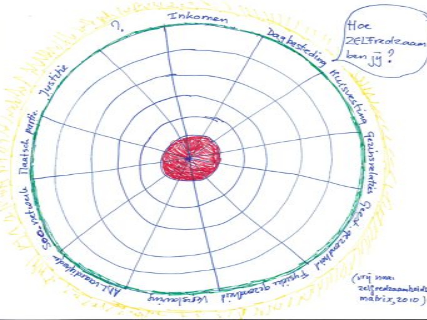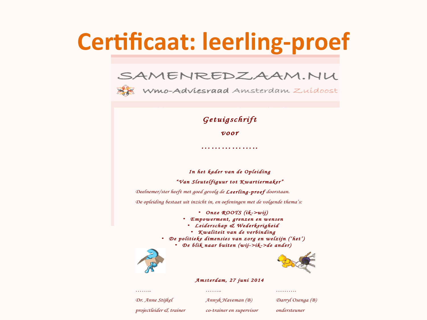## **Certificaat: leerling-proef**

#### SAMENREDZAAM.NU



#### *Getuigschrift*

*voor* 

*……………..* 

*In het kader van de Opleiding* 

*"Van Sleutelfiguur tot Kwartiermaker"*

*Deelnemer/ster heeft met goed gevolg de Leerling-proef doorstaan.*

*De opleiding bestaat uit inzicht in, en oefeningen met de volgende thema's:* 

• *Onze ROOTS (ik->wij)* 

- *Empowerment, grenzen en wensen*
- *Leiderschap & Wederkerigheid*
- *Kwaliteit van de verbinding*
- *De politieke dimensies van zorg en welzijn ('het')* 
	- *De blik naar buiten (wij->ik->de ander)*





#### *Amsterdam, 27 juni 2014*

*Dr. Anne Stijkel Annyk Haveman (B) Darryl Osenga (B)*

*…….. …….. ……….*

*projectleider & trainer co-trainer en supervisor ondersteuner*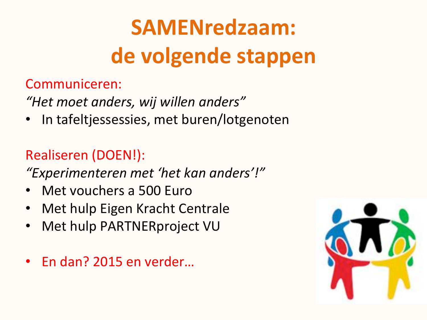# **SAMENredzaam:** de volgende stappen

### Communiceren:

"Het moet anders, wij willen anders"

In tafeltjessessies, met buren/lotgenoten

### **Realiseren (DOEN!):**

"Experimenteren met 'het kan anders'!"

- Met vouchers a 500 Euro
- Met hulp Eigen Kracht Centrale
- Met hulp PARTNERproject VU  $\bullet$
- En dan? 2015 en verder...

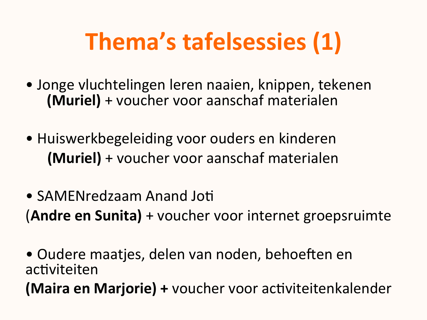# Thema's tafelsessies (1)

- Jonge vluchtelingen leren naaien, knippen, tekenen (Muriel) + voucher voor aanschaf materialen
- Huiswerkbegeleiding voor ouders en kinderen (Muriel) + voucher voor aanschaf materialen
- SAMENredzaam Anand Joti (Andre en Sunita) + voucher voor internet groepsruimte

• Oudere maatjes, delen van noden, behoeften en activiteiten

(Maira en Marjorie) + voucher voor activiteitenkalender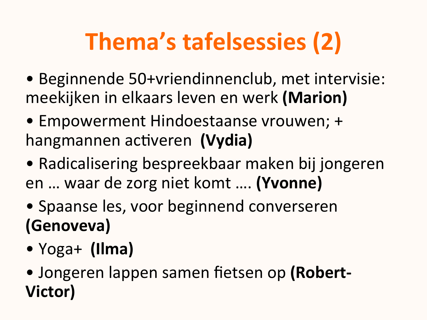# **Thema's tafelsessies (2)**

- Beginnende 50+vriendinnenclub, met intervisie: meekijken in elkaars leven en werk (Marion)
- Empowerment Hindoestaanse vrouwen; + hangmannen activeren (Vydia)
- Radicalisering bespreekbaar maken bij jongeren en ... waar de zorg niet komt .... (Yvonne)
- Spaanse les, voor beginnend converseren (Genoveva)
- $Yoga+ (Ilma)$
- Jongeren lappen samen fietsen op (Robert-Victor)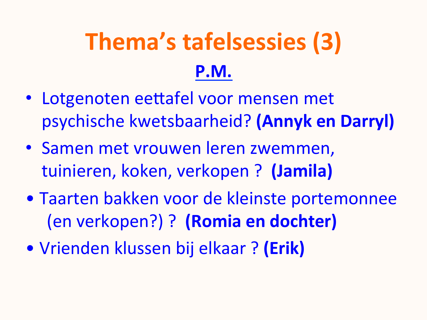# Thema's tafelsessies (3) P.M.

- Lotgenoten eettafel voor mensen met psychische kwetsbaarheid? (Annyk en Darryl)
- Samen met vrouwen leren zwemmen, tuinieren, koken, verkopen ? (Jamila)
- Taarten bakken voor de kleinste portemonnee (en verkopen?) ? (Romia en dochter)
- Vrienden klussen bij elkaar ? (Erik)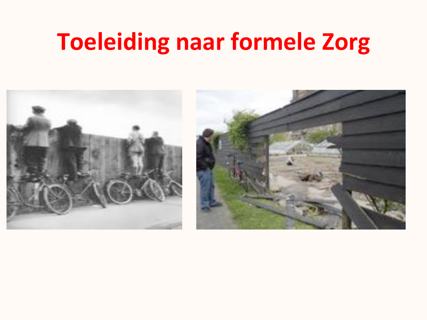### **Toeleiding naar formele Zorg**

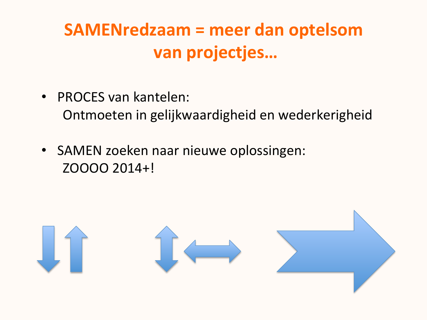### **SAMENredzaam = meer dan optelsom** van projectjes...

- PROCES van kantelen: Ontmoeten in gelijkwaardigheid en wederkerigheid
- SAMEN zoeken naar nieuwe oplossingen: ZOOOO 2014+!

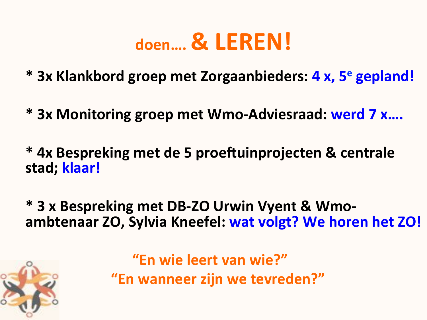### doen.... & LEREN!

\* 3x Klankbord groep met Zorgaanbieders: 4 x, 5<sup>e</sup> gepland!

- \* 3x Monitoring groep met Wmo-Adviesraad: werd 7 x....
- \* 4x Bespreking met de 5 proeftuinprojecten & centrale stad; klaar!
- \* 3 x Bespreking met DB-ZO Urwin Vyent & Wmoambtenaar ZO, Sylvia Kneefel: wat volgt? We horen het ZO!



"En wie leert van wie?" "En wanneer zijn we tevreden?"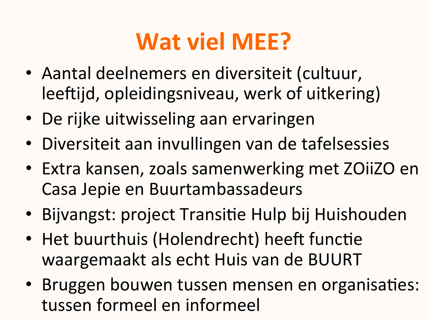# **Wat viel MEE?**

- · Aantal deelnemers en diversiteit (cultuur, leeftijd, opleidingsniveau, werk of uitkering)
- De rijke uitwisseling aan ervaringen
- Diversiteit aan invullingen van de tafelsessies
- Extra kansen, zoals samenwerking met ZOiiZO en Casa Jepie en Buurtambassadeurs
- · Bijvangst: project Transitie Hulp bij Huishouden
- Het buurthuis (Holendrecht) heeft functie waargemaakt als echt Huis van de BUURT
- Bruggen bouwen tussen mensen en organisaties: tussen formeel en informeel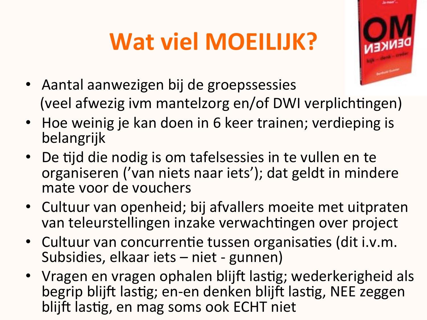# **Wat viel MOEILIJK?**



- Aantal aanwezigen bij de groepssessies (veel afwezig ivm mantelzorg en/of DWI verplichtingen)
- Hoe weinig je kan doen in 6 keer trainen; verdieping is belangrijk
- De tijd die nodig is om tafelsessies in te vullen en te organiseren ('van niets naar iets'); dat geldt in mindere mate voor de vouchers
- Cultuur van openheid; bij afvallers moeite met uitpraten van teleurstellingen inzake verwachtingen over project
- Cultuur van concurrentie tussen organisaties (dit i.v.m. Subsidies, elkaar iets - niet - gunnen)
- Vragen en vragen ophalen blijft lastig; wederkerigheid als begrip blijft lastig; en-en denken blijft lastig, NEE zeggen blijft lastig, en mag soms ook ECHT niet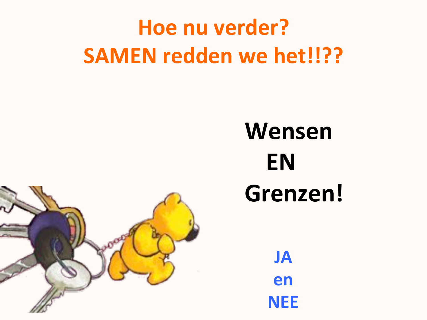## Hoe nu verder? **SAMEN redden we het!!??**

# Wensen **EN** Grenzen!



**JA** en

**NEE**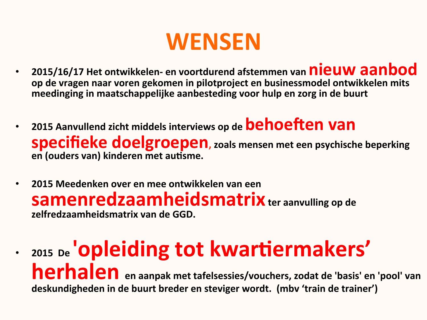### **WENSEN**

- 2015/16/17 Het ontwikkelen- en voortdurend afstemmen van nieuw aanbod  $\bullet$ op de vragen naar voren gekomen in pilotproject en businessmodel ontwikkelen mits meedinging in maatschappelijke aanbesteding voor hulp en zorg in de buurt
- 2015 Aanvullend zicht middels interviews op de **behoeften van** specifieke doelgroepen, zoals mensen met een psychische beperking en (ouders van) kinderen met autisme.
- 2015 Meedenken over en mee ontwikkelen van een  $\bullet$ Samenredzaamheidsmatrix ter aanvulling op de zelfredzaamheidsmatrix van de GGD.

• 2015 De **'Opleiding tot kwartiermakers'** herhalen en aanpak met tafelsessies/vouchers, zodat de 'basis' en 'pool' van deskundigheden in de buurt breder en steviger wordt. (mbv 'train de trainer')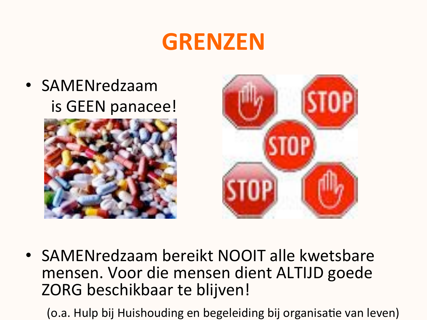### **GRENZEN**

### • SAMENredzaam is GEEN panacee!





• SAMENredzaam bereikt NOOIT alle kwetsbare mensen. Voor die mensen dient ALTIJD goede ZORG beschikbaar te blijven!

(o.a. Hulp bij Huishouding en begeleiding bij organisatie van leven)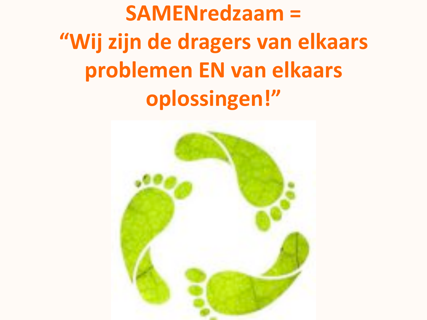**SAMENredzaam =** "Wij zijn de dragers van elkaars problemen EN van elkaars oplossingen!"

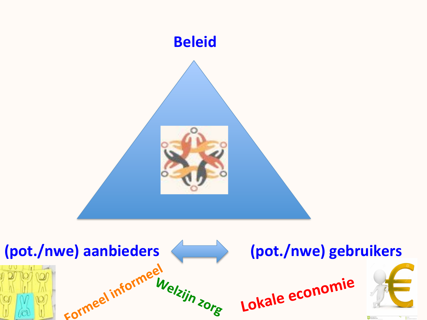